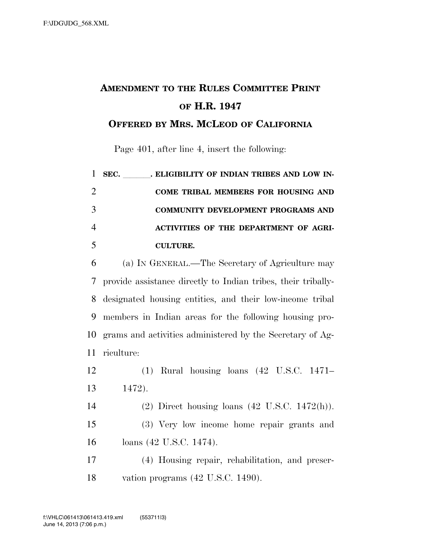## **AMENDMENT TO THE RULES COMMITTEE PRINT OF H.R. 1947**

**OFFERED BY MRS. MCLEOD OF CALIFORNIA**

Page 401, after line 4, insert the following:

|   | 1 SEC. . ELIGIBILITY OF INDIAN TRIBES AND LOW IN- |
|---|---------------------------------------------------|
| 2 | COME TRIBAL MEMBERS FOR HOUSING AND               |
| 3 | <b>COMMUNITY DEVELOPMENT PROGRAMS AND</b>         |
| 4 | ACTIVITIES OF THE DEPARTMENT OF AGRI-             |
| 5 | <b>CULTURE.</b>                                   |

 (a) IN GENERAL.—The Secretary of Agriculture may provide assistance directly to Indian tribes, their tribally- designated housing entities, and their low-income tribal members in Indian areas for the following housing pro- grams and activities administered by the Secretary of Ag-riculture:

| 12 |        | $(1)$ Rural housing loans $(42 \text{ U.S.C. } 1471-$ |  |  |
|----|--------|-------------------------------------------------------|--|--|
| 13 | 1472). |                                                       |  |  |

 (2) Direct housing loans (42 U.S.C. 1472(h)). (3) Very low income home repair grants and loans (42 U.S.C. 1474).

 (4) Housing repair, rehabilitation, and preser-vation programs (42 U.S.C. 1490).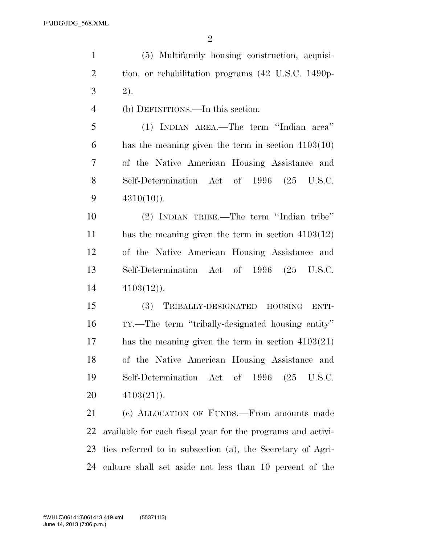| $\mathbf{1}$   | (5) Multifamily housing construction, acquisi-               |
|----------------|--------------------------------------------------------------|
| $\overline{2}$ | tion, or rehabilitation programs (42 U.S.C. 1490p-           |
| $\mathfrak{Z}$ | 2).                                                          |
| $\overline{4}$ | (b) DEFINITIONS.—In this section:                            |
| 5              | (1) INDIAN AREA.—The term "Indian area"                      |
| 6              | has the meaning given the term in section $4103(10)$         |
| $\tau$         | of the Native American Housing Assistance and                |
| 8              | Self-Determination Act of 1996 (25 U.S.C.                    |
| 9              | $4310(10)$ .                                                 |
| 10             | (2) INDIAN TRIBE.—The term "Indian tribe"                    |
| 11             | has the meaning given the term in section $4103(12)$         |
| 12             | of the Native American Housing Assistance and                |
| 13             | Self-Determination Act of 1996 (25 U.S.C.                    |
| 14             | $4103(12)$ .                                                 |
| 15             | TRIBALLY-DESIGNATED<br><b>(3)</b><br><b>HOUSING</b><br>ENTI- |
| 16             | TY.—The term "tribally-designated housing entity"            |
| $17\,$         | has the meaning given the term in section $4103(21)$         |
| 18             | of the Native American Housing Assistance and                |
| 19             | Self-Determination Act of 1996 (25 U.S.C.                    |
| 20             | $4103(21)$ .                                                 |
| 21             | (c) ALLOCATION OF FUNDS.—From amounts made                   |
| 22             | available for each fiscal year for the programs and activi-  |
| 23             | ties referred to in subsection (a), the Secretary of Agri-   |
| 24             | culture shall set aside not less than 10 percent of the      |